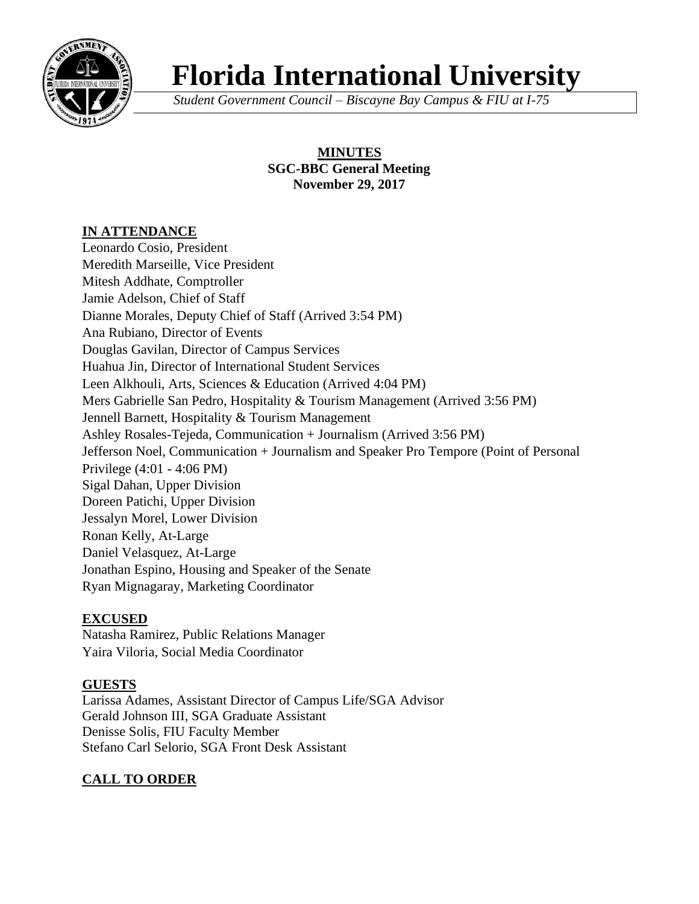

# **Florida International University**

*Student Government Council – Biscayne Bay Campus & FIU at I-75*

### **MINUTES SGC-BBC General Meeting November 29, 2017**

## **IN ATTENDANCE**

Leonardo Cosio, President Meredith Marseille, Vice President Mitesh Addhate, Comptroller Jamie Adelson, Chief of Staff Dianne Morales, Deputy Chief of Staff (Arrived 3:54 PM) Ana Rubiano, Director of Events Douglas Gavilan, Director of Campus Services Huahua Jin, Director of International Student Services Leen Alkhouli, Arts, Sciences & Education (Arrived 4:04 PM) Mers Gabrielle San Pedro, Hospitality & Tourism Management (Arrived 3:56 PM) Jennell Barnett, Hospitality & Tourism Management Ashley Rosales-Tejeda, Communication + Journalism (Arrived 3:56 PM) Jefferson Noel, Communication + Journalism and Speaker Pro Tempore (Point of Personal Privilege (4:01 - 4:06 PM) Sigal Dahan, Upper Division Doreen Patichi, Upper Division Jessalyn Morel, Lower Division Ronan Kelly, At-Large Daniel Velasquez, At-Large Jonathan Espino, Housing and Speaker of the Senate Ryan Mignagaray, Marketing Coordinator

## **EXCUSED**

Natasha Ramirez, Public Relations Manager Yaira Viloria, Social Media Coordinator

## **GUESTS**

Larissa Adames, Assistant Director of Campus Life/SGA Advisor Gerald Johnson III, SGA Graduate Assistant Denisse Solis, FIU Faculty Member Stefano Carl Selorio, SGA Front Desk Assistant

## **CALL TO ORDER**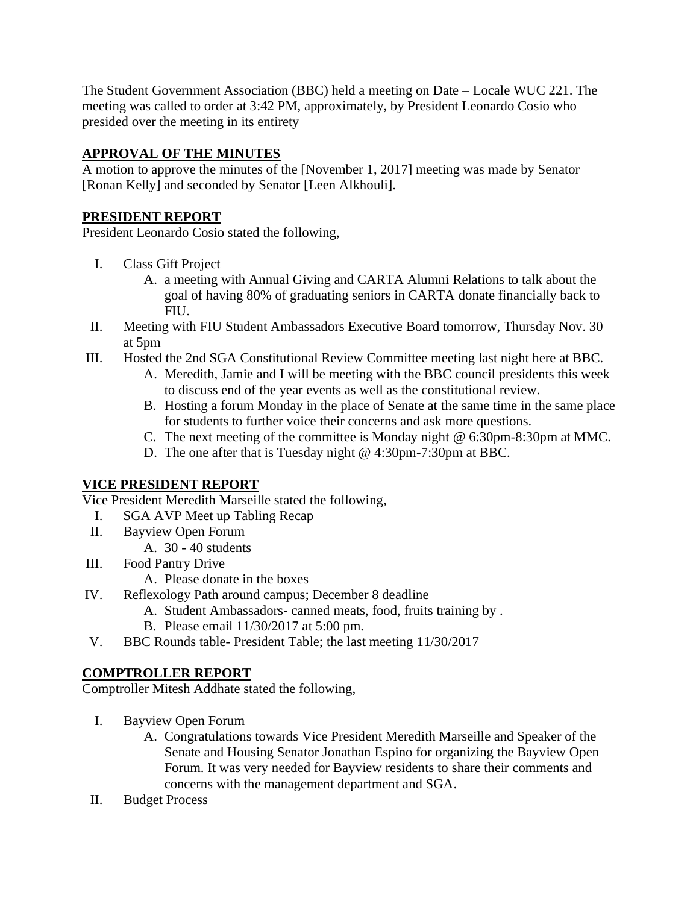The Student Government Association (BBC) held a meeting on Date – Locale WUC 221. The meeting was called to order at 3:42 PM, approximately, by President Leonardo Cosio who presided over the meeting in its entirety

## **APPROVAL OF THE MINUTES**

A motion to approve the minutes of the [November 1, 2017] meeting was made by Senator [Ronan Kelly] and seconded by Senator [Leen Alkhouli].

## **PRESIDENT REPORT**

President Leonardo Cosio stated the following,

- I. Class Gift Project
	- A. a meeting with Annual Giving and CARTA Alumni Relations to talk about the goal of having 80% of graduating seniors in CARTA donate financially back to FIU.
- II. Meeting with FIU Student Ambassadors Executive Board tomorrow, Thursday Nov. 30 at 5pm
- III. Hosted the 2nd SGA Constitutional Review Committee meeting last night here at BBC.
	- A. Meredith, Jamie and I will be meeting with the BBC council presidents this week to discuss end of the year events as well as the constitutional review.
	- B. Hosting a forum Monday in the place of Senate at the same time in the same place for students to further voice their concerns and ask more questions.
	- C. The next meeting of the committee is Monday night @ 6:30pm-8:30pm at MMC.
	- D. The one after that is Tuesday night @ 4:30pm-7:30pm at BBC.

## **VICE PRESIDENT REPORT**

Vice President Meredith Marseille stated the following,

- I. SGA AVP Meet up Tabling Recap
- II. Bayview Open Forum
	- A. 30 40 students
- III. Food Pantry Drive
	- A. Please donate in the boxes
- IV. Reflexology Path around campus; December 8 deadline
	- A. Student Ambassadors- canned meats, food, fruits training by .
	- B. Please email 11/30/2017 at 5:00 pm.
- V. BBC Rounds table- President Table; the last meeting 11/30/2017

## **COMPTROLLER REPORT**

Comptroller Mitesh Addhate stated the following,

- I. Bayview Open Forum
	- A. Congratulations towards Vice President Meredith Marseille and Speaker of the Senate and Housing Senator Jonathan Espino for organizing the Bayview Open Forum. It was very needed for Bayview residents to share their comments and concerns with the management department and SGA.
- II. Budget Process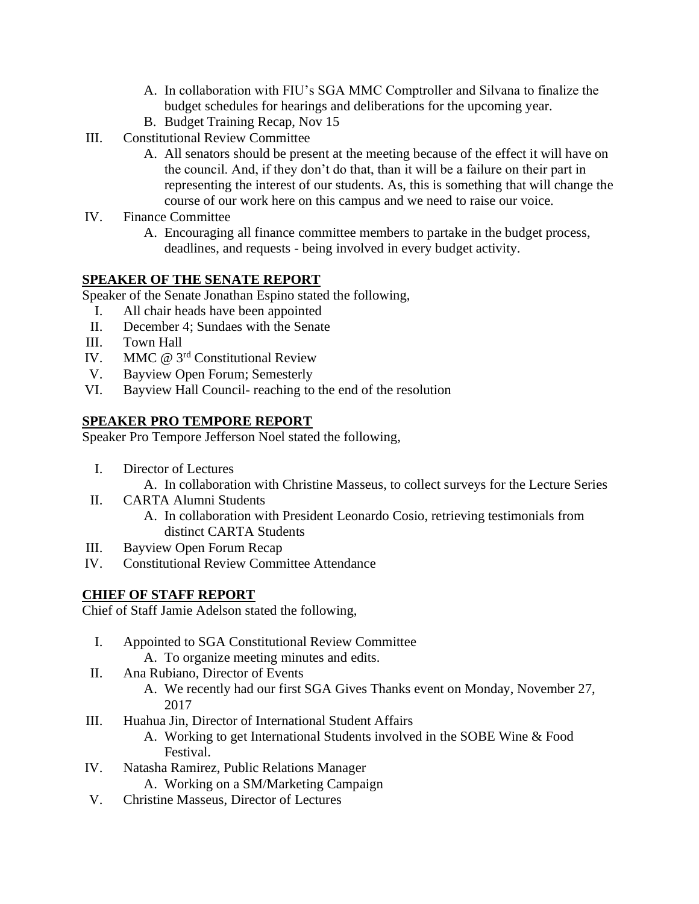- A. In collaboration with FIU's SGA MMC Comptroller and Silvana to finalize the budget schedules for hearings and deliberations for the upcoming year.
- B. Budget Training Recap, Nov 15
- III. Constitutional Review Committee
	- A. All senators should be present at the meeting because of the effect it will have on the council. And, if they don't do that, than it will be a failure on their part in representing the interest of our students. As, this is something that will change the course of our work here on this campus and we need to raise our voice.
- IV. Finance Committee
	- A. Encouraging all finance committee members to partake in the budget process, deadlines, and requests - being involved in every budget activity.

#### **SPEAKER OF THE SENATE REPORT**

Speaker of the Senate Jonathan Espino stated the following,

- I. All chair heads have been appointed
- II. December 4; Sundaes with the Senate
- III. Town Hall
- IV. MMC @ 3rd Constitutional Review
- V. Bayview Open Forum; Semesterly
- VI. Bayview Hall Council- reaching to the end of the resolution

#### **SPEAKER PRO TEMPORE REPORT**

Speaker Pro Tempore Jefferson Noel stated the following,

- I. Director of Lectures
	- A. In collaboration with Christine Masseus, to collect surveys for the Lecture Series
- II. CARTA Alumni Students
	- A. In collaboration with President Leonardo Cosio, retrieving testimonials from distinct CARTA Students
- III. Bayview Open Forum Recap
- IV. Constitutional Review Committee Attendance

#### **CHIEF OF STAFF REPORT**

Chief of Staff Jamie Adelson stated the following,

- I. Appointed to SGA Constitutional Review Committee A. To organize meeting minutes and edits.
- II. Ana Rubiano, Director of Events
	- A. We recently had our first SGA Gives Thanks event on Monday, November 27, 2017
- III. Huahua Jin, Director of International Student Affairs
	- A. Working to get International Students involved in the SOBE Wine & Food Festival.
- IV. Natasha Ramirez, Public Relations Manager
	- A. Working on a SM/Marketing Campaign
- V. Christine Masseus, Director of Lectures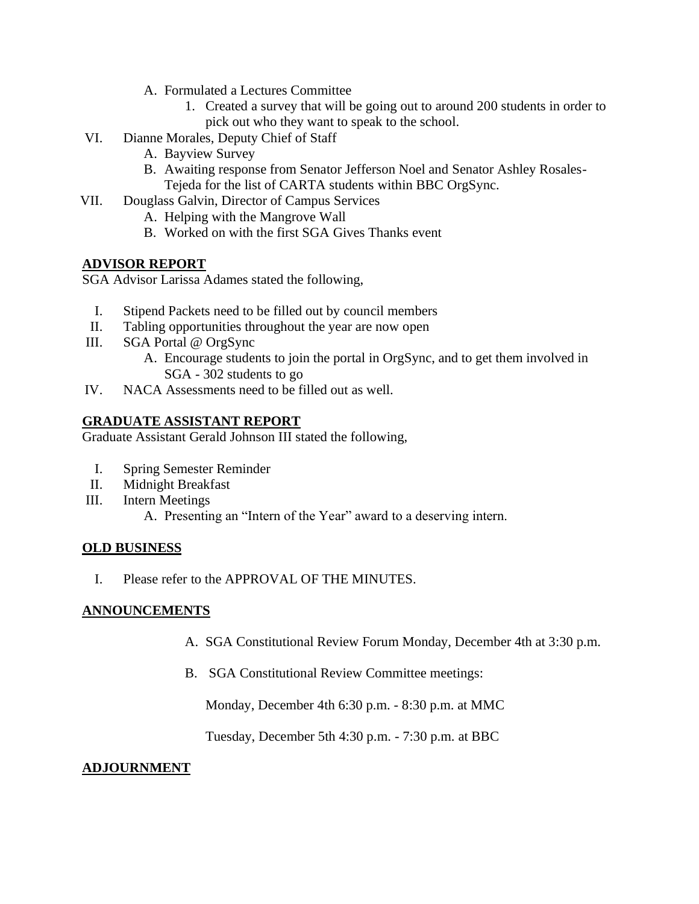- A. Formulated a Lectures Committee
	- 1. Created a survey that will be going out to around 200 students in order to pick out who they want to speak to the school.
- VI. Dianne Morales, Deputy Chief of Staff
	- A. Bayview Survey
	- B. Awaiting response from Senator Jefferson Noel and Senator Ashley Rosales-Tejeda for the list of CARTA students within BBC OrgSync.
- VII. Douglass Galvin, Director of Campus Services
	- A. Helping with the Mangrove Wall
	- B. Worked on with the first SGA Gives Thanks event

#### **ADVISOR REPORT**

SGA Advisor Larissa Adames stated the following,

- I. Stipend Packets need to be filled out by council members
- II. Tabling opportunities throughout the year are now open
- III. SGA Portal @ OrgSync
	- A. Encourage students to join the portal in OrgSync, and to get them involved in SGA - 302 students to go
- IV. NACA Assessments need to be filled out as well.

### **GRADUATE ASSISTANT REPORT**

Graduate Assistant Gerald Johnson III stated the following,

- I. Spring Semester Reminder
- II. Midnight Breakfast
- III. Intern Meetings
	- A. Presenting an "Intern of the Year" award to a deserving intern.

#### **OLD BUSINESS**

I. Please refer to the APPROVAL OF THE MINUTES.

#### **ANNOUNCEMENTS**

- A. SGA Constitutional Review Forum Monday, December 4th at 3:30 p.m.
- B. SGA Constitutional Review Committee meetings:

Monday, December 4th 6:30 p.m. - 8:30 p.m. at MMC

Tuesday, December 5th 4:30 p.m. - 7:30 p.m. at BBC

#### **ADJOURNMENT**